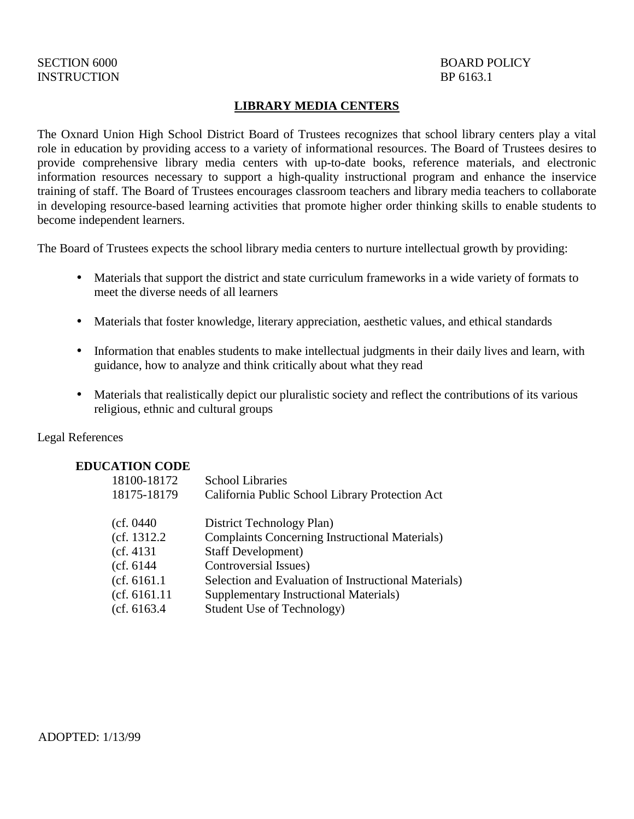# INSTRUCTION BP 6163.1

# SECTION 6000 BOARD POLICY

#### **LIBRARY MEDIA CENTERS**

The Oxnard Union High School District Board of Trustees recognizes that school library centers play a vital role in education by providing access to a variety of informational resources. The Board of Trustees desires to provide comprehensive library media centers with up-to-date books, reference materials, and electronic information resources necessary to support a high-quality instructional program and enhance the inservice training of staff. The Board of Trustees encourages classroom teachers and library media teachers to collaborate in developing resource-based learning activities that promote higher order thinking skills to enable students to become independent learners.

The Board of Trustees expects the school library media centers to nurture intellectual growth by providing:

- Materials that support the district and state curriculum frameworks in a wide variety of formats to meet the diverse needs of all learners
- Materials that foster knowledge, literary appreciation, aesthetic values, and ethical standards
- Information that enables students to make intellectual judgments in their daily lives and learn, with guidance, how to analyze and think critically about what they read
- Materials that realistically depict our pluralistic society and reflect the contributions of its various religious, ethnic and cultural groups

#### Legal References

## **EDUCATION CODE**

| 18100-18172   | <b>School Libraries</b>                               |
|---------------|-------------------------------------------------------|
| 18175-18179   | California Public School Library Protection Act       |
|               |                                                       |
| (cf. 0440     | District Technology Plan)                             |
| (cf. 1312.2)  | <b>Complaints Concerning Instructional Materials)</b> |
| (cf. 4131)    | <b>Staff Development</b> )                            |
| (cf. 6144     | Controversial Issues)                                 |
| (cf. 6161.1)  | Selection and Evaluation of Instructional Materials)  |
| (cf. 6161.11) | <b>Supplementary Instructional Materials)</b>         |
| (cf. 6163.4)  | Student Use of Technology)                            |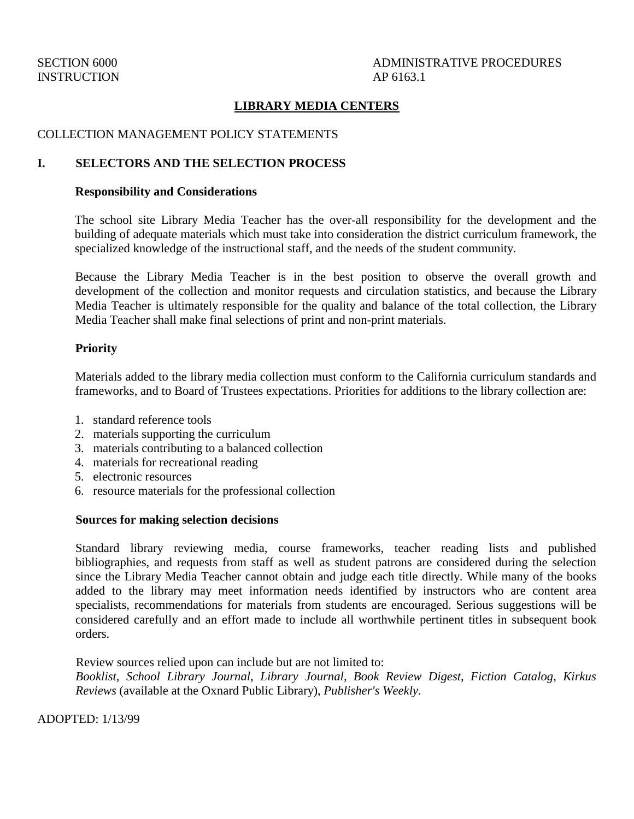## **LIBRARY MEDIA CENTERS**

#### COLLECTION MANAGEMENT POLICY STATEMENTS

#### **I. SELECTORS AND THE SELECTION PROCESS**

#### **Responsibility and Considerations**

The school site Library Media Teacher has the over-all responsibility for the development and the building of adequate materials which must take into consideration the district curriculum framework, the specialized knowledge of the instructional staff, and the needs of the student community.

Because the Library Media Teacher is in the best position to observe the overall growth and development of the collection and monitor requests and circulation statistics, and because the Library Media Teacher is ultimately responsible for the quality and balance of the total collection, the Library Media Teacher shall make final selections of print and non-print materials.

#### **Priority**

Materials added to the library media collection must conform to the California curriculum standards and frameworks, and to Board of Trustees expectations. Priorities for additions to the library collection are:

- 1. standard reference tools
- 2. materials supporting the curriculum
- 3. materials contributing to a balanced collection
- 4. materials for recreational reading
- 5. electronic resources
- 6. resource materials for the professional collection

#### **Sources for making selection decisions**

Standard library reviewing media, course frameworks, teacher reading lists and published bibliographies, and requests from staff as well as student patrons are considered during the selection since the Library Media Teacher cannot obtain and judge each title directly. While many of the books added to the library may meet information needs identified by instructors who are content area specialists, recommendations for materials from students are encouraged. Serious suggestions will be considered carefully and an effort made to include all worthwhile pertinent titles in subsequent book orders.

Review sources relied upon can include but are not limited to:

*Booklist, School Library Journal, Library Journal, Book Review Digest, Fiction Catalog, Kirkus Reviews* (available at the Oxnard Public Library), *Publisher's Weekly.* 

ADOPTED: 1/13/99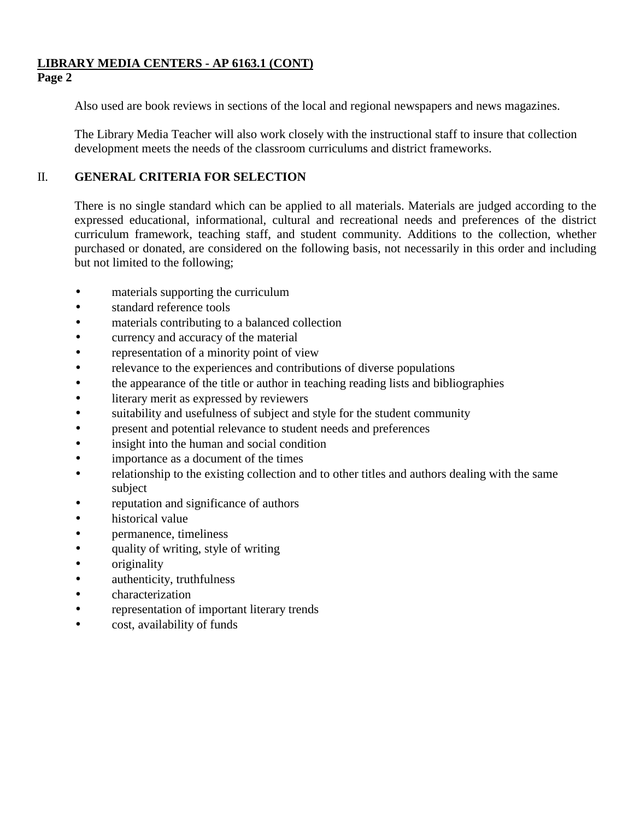# **LIBRARY MEDIA CENTERS - AP 6163.1 (CONT)**

# **Page 2**

Also used are book reviews in sections of the local and regional newspapers and news magazines.

The Library Media Teacher will also work closely with the instructional staff to insure that collection development meets the needs of the classroom curriculums and district frameworks.

## II. **GENERAL CRITERIA FOR SELECTION**

There is no single standard which can be applied to all materials. Materials are judged according to the expressed educational, informational, cultural and recreational needs and preferences of the district curriculum framework, teaching staff, and student community. Additions to the collection, whether purchased or donated, are considered on the following basis, not necessarily in this order and including but not limited to the following;

- materials supporting the curriculum
- standard reference tools
- materials contributing to a balanced collection
- currency and accuracy of the material
- representation of a minority point of view
- relevance to the experiences and contributions of diverse populations
- the appearance of the title or author in teaching reading lists and bibliographies
- literary merit as expressed by reviewers
- suitability and usefulness of subject and style for the student community
- present and potential relevance to student needs and preferences
- insight into the human and social condition
- importance as a document of the times
- relationship to the existing collection and to other titles and authors dealing with the same subject
- reputation and significance of authors
- historical value
- permanence, timeliness
- quality of writing, style of writing
- originality
- authenticity, truthfulness
- characterization
- representation of important literary trends
- cost, availability of funds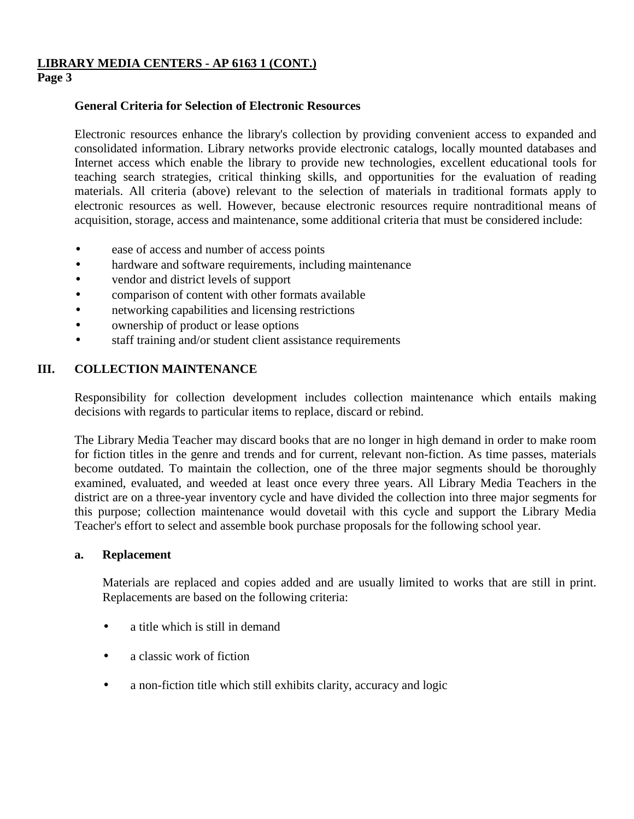## **LIBRARY MEDIA CENTERS - AP 6163 1 (CONT.)**

## **Page 3**

### **General Criteria for Selection of Electronic Resources**

Electronic resources enhance the library's collection by providing convenient access to expanded and consolidated information. Library networks provide electronic catalogs, locally mounted databases and Internet access which enable the library to provide new technologies, excellent educational tools for teaching search strategies, critical thinking skills, and opportunities for the evaluation of reading materials. All criteria (above) relevant to the selection of materials in traditional formats apply to electronic resources as well. However, because electronic resources require nontraditional means of acquisition, storage, access and maintenance, some additional criteria that must be considered include:

- ease of access and number of access points
- hardware and software requirements, including maintenance
- vendor and district levels of support
- comparison of content with other formats available
- networking capabilities and licensing restrictions
- ownership of product or lease options
- staff training and/or student client assistance requirements

## **III. COLLECTION MAINTENANCE**

Responsibility for collection development includes collection maintenance which entails making decisions with regards to particular items to replace, discard or rebind.

The Library Media Teacher may discard books that are no longer in high demand in order to make room for fiction titles in the genre and trends and for current, relevant non-fiction. As time passes, materials become outdated. To maintain the collection, one of the three major segments should be thoroughly examined, evaluated, and weeded at least once every three years. All Library Media Teachers in the district are on a three-year inventory cycle and have divided the collection into three major segments for this purpose; collection maintenance would dovetail with this cycle and support the Library Media Teacher's effort to select and assemble book purchase proposals for the following school year.

#### **a. Replacement**

Materials are replaced and copies added and are usually limited to works that are still in print. Replacements are based on the following criteria:

- a title which is still in demand
- a classic work of fiction
- a non-fiction title which still exhibits clarity, accuracy and logic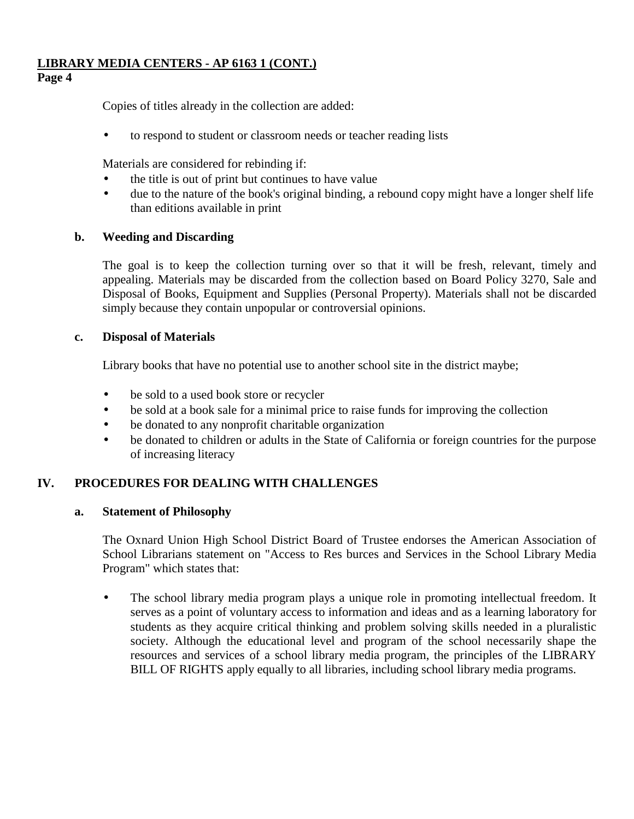## **LIBRARY MEDIA CENTERS - AP 6163 1 (CONT.)**

## **Page 4**

Copies of titles already in the collection are added:

• to respond to student or classroom needs or teacher reading lists

Materials are considered for rebinding if:

- the title is out of print but continues to have value
- due to the nature of the book's original binding, a rebound copy might have a longer shelf life than editions available in print

## **b. Weeding and Discarding**

The goal is to keep the collection turning over so that it will be fresh, relevant, timely and appealing. Materials may be discarded from the collection based on Board Policy 3270, Sale and Disposal of Books, Equipment and Supplies (Personal Property). Materials shall not be discarded simply because they contain unpopular or controversial opinions.

#### **c. Disposal of Materials**

Library books that have no potential use to another school site in the district maybe;

- be sold to a used book store or recycler
- be sold at a book sale for a minimal price to raise funds for improving the collection
- be donated to any nonprofit charitable organization
- be donated to children or adults in the State of California or foreign countries for the purpose of increasing literacy

## **IV. PROCEDURES FOR DEALING WITH CHALLENGES**

#### **a. Statement of Philosophy**

The Oxnard Union High School District Board of Trustee endorses the American Association of School Librarians statement on "Access to Res burces and Services in the School Library Media Program" which states that:

• The school library media program plays a unique role in promoting intellectual freedom. It serves as a point of voluntary access to information and ideas and as a learning laboratory for students as they acquire critical thinking and problem solving skills needed in a pluralistic society. Although the educational level and program of the school necessarily shape the resources and services of a school library media program, the principles of the LIBRARY BILL OF RIGHTS apply equally to all libraries, including school library media programs.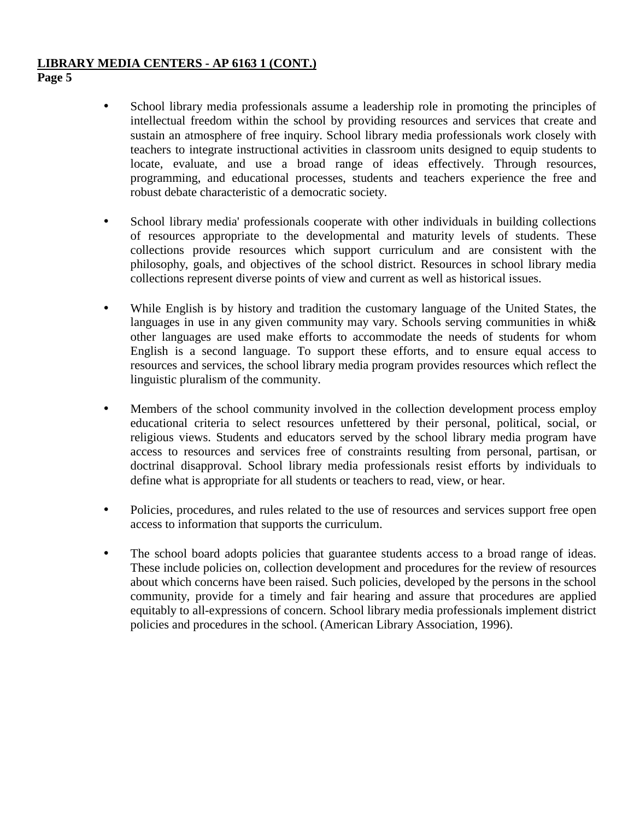## **LIBRARY MEDIA CENTERS - AP 6163 1 (CONT.)**

**Page 5**

- School library media professionals assume a leadership role in promoting the principles of intellectual freedom within the school by providing resources and services that create and sustain an atmosphere of free inquiry. School library media professionals work closely with teachers to integrate instructional activities in classroom units designed to equip students to locate, evaluate, and use a broad range of ideas effectively. Through resources, programming, and educational processes, students and teachers experience the free and robust debate characteristic of a democratic society.
- School library media' professionals cooperate with other individuals in building collections of resources appropriate to the developmental and maturity levels of students. These collections provide resources which support curriculum and are consistent with the philosophy, goals, and objectives of the school district. Resources in school library media collections represent diverse points of view and current as well as historical issues.
- While English is by history and tradition the customary language of the United States, the languages in use in any given community may vary. Schools serving communities in whi $\&$ other languages are used make efforts to accommodate the needs of students for whom English is a second language. To support these efforts, and to ensure equal access to resources and services, the school library media program provides resources which reflect the linguistic pluralism of the community.
- Members of the school community involved in the collection development process employ educational criteria to select resources unfettered by their personal, political, social, or religious views. Students and educators served by the school library media program have access to resources and services free of constraints resulting from personal, partisan, or doctrinal disapproval. School library media professionals resist efforts by individuals to define what is appropriate for all students or teachers to read, view, or hear.
- Policies, procedures, and rules related to the use of resources and services support free open access to information that supports the curriculum.
- The school board adopts policies that guarantee students access to a broad range of ideas. These include policies on, collection development and procedures for the review of resources about which concerns have been raised. Such policies, developed by the persons in the school community, provide for a timely and fair hearing and assure that procedures are applied equitably to all-expressions of concern. School library media professionals implement district policies and procedures in the school. (American Library Association, 1996).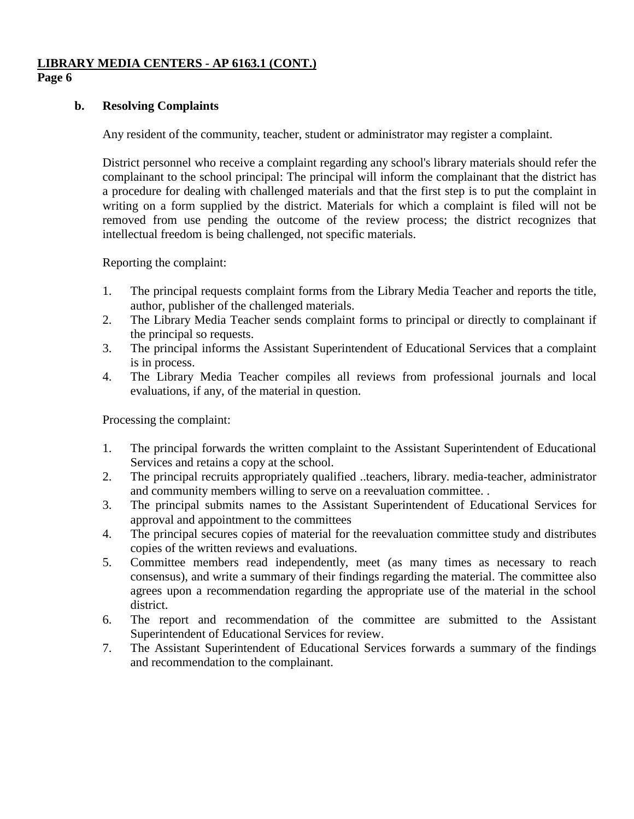# **LIBRARY MEDIA CENTERS - AP 6163.1 (CONT.)**

## **Page 6**

### **b. Resolving Complaints**

Any resident of the community, teacher, student or administrator may register a complaint.

District personnel who receive a complaint regarding any school's library materials should refer the complainant to the school principal: The principal will inform the complainant that the district has a procedure for dealing with challenged materials and that the first step is to put the complaint in writing on a form supplied by the district. Materials for which a complaint is filed will not be removed from use pending the outcome of the review process; the district recognizes that intellectual freedom is being challenged, not specific materials.

Reporting the complaint:

- 1. The principal requests complaint forms from the Library Media Teacher and reports the title, author, publisher of the challenged materials.
- 2. The Library Media Teacher sends complaint forms to principal or directly to complainant if the principal so requests.
- 3. The principal informs the Assistant Superintendent of Educational Services that a complaint is in process.
- 4. The Library Media Teacher compiles all reviews from professional journals and local evaluations, if any, of the material in question.

Processing the complaint:

- 1. The principal forwards the written complaint to the Assistant Superintendent of Educational Services and retains a copy at the school.
- 2. The principal recruits appropriately qualified ..teachers, library. media-teacher, administrator and community members willing to serve on a reevaluation committee. .
- 3. The principal submits names to the Assistant Superintendent of Educational Services for approval and appointment to the committees
- 4. The principal secures copies of material for the reevaluation committee study and distributes copies of the written reviews and evaluations.
- 5. Committee members read independently, meet (as many times as necessary to reach consensus), and write a summary of their findings regarding the material. The committee also agrees upon a recommendation regarding the appropriate use of the material in the school district.
- 6. The report and recommendation of the committee are submitted to the Assistant Superintendent of Educational Services for review.
- 7. The Assistant Superintendent of Educational Services forwards a summary of the findings and recommendation to the complainant.